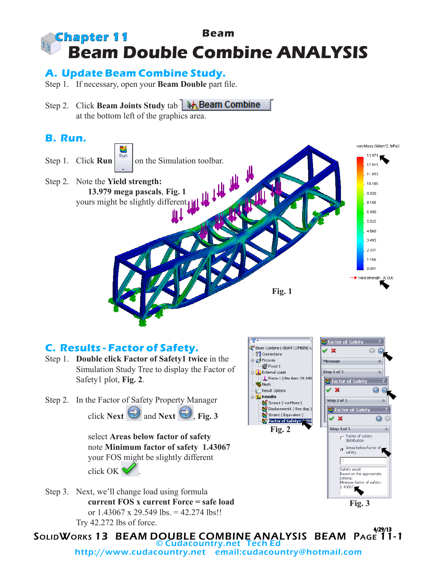

### **A. Update Beam Combine Study.**

- Step 1. If necessary, open your **Beam Double** part file.
- **Step 2. Click Beam Joints Study tab 35. Beam Combine** at the bottom left of the graphics area.

## **B. Run.**



### **C. Results - Factor of Safety.**

- Step 1. **Double click Factor of Safety1 twice** in the Simulation Study Tree to display the Factor of Safety1 plot, **Fig. 2**.
- Step 2. In the Factor of Safety Property Manager click **Next**  $\bigcirc$  and **Next**  $\bigcirc$ , **Fig. 3**

select **Areas below factor of safety** note **Minimum factor of safety 1.43067** your FOS might be slightly different click OK .







SolidWorks 13 BEAM DOUBLE COMBINE ANALYSIS BEAM Page 11-1 4/29/13 © Cudacountry.net Tech Ed http://www.cudacountry.net email:cudacountry@hotmail.com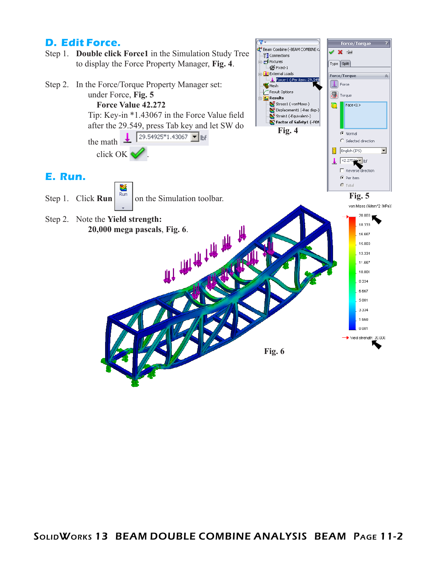### **D. Edit Force.**